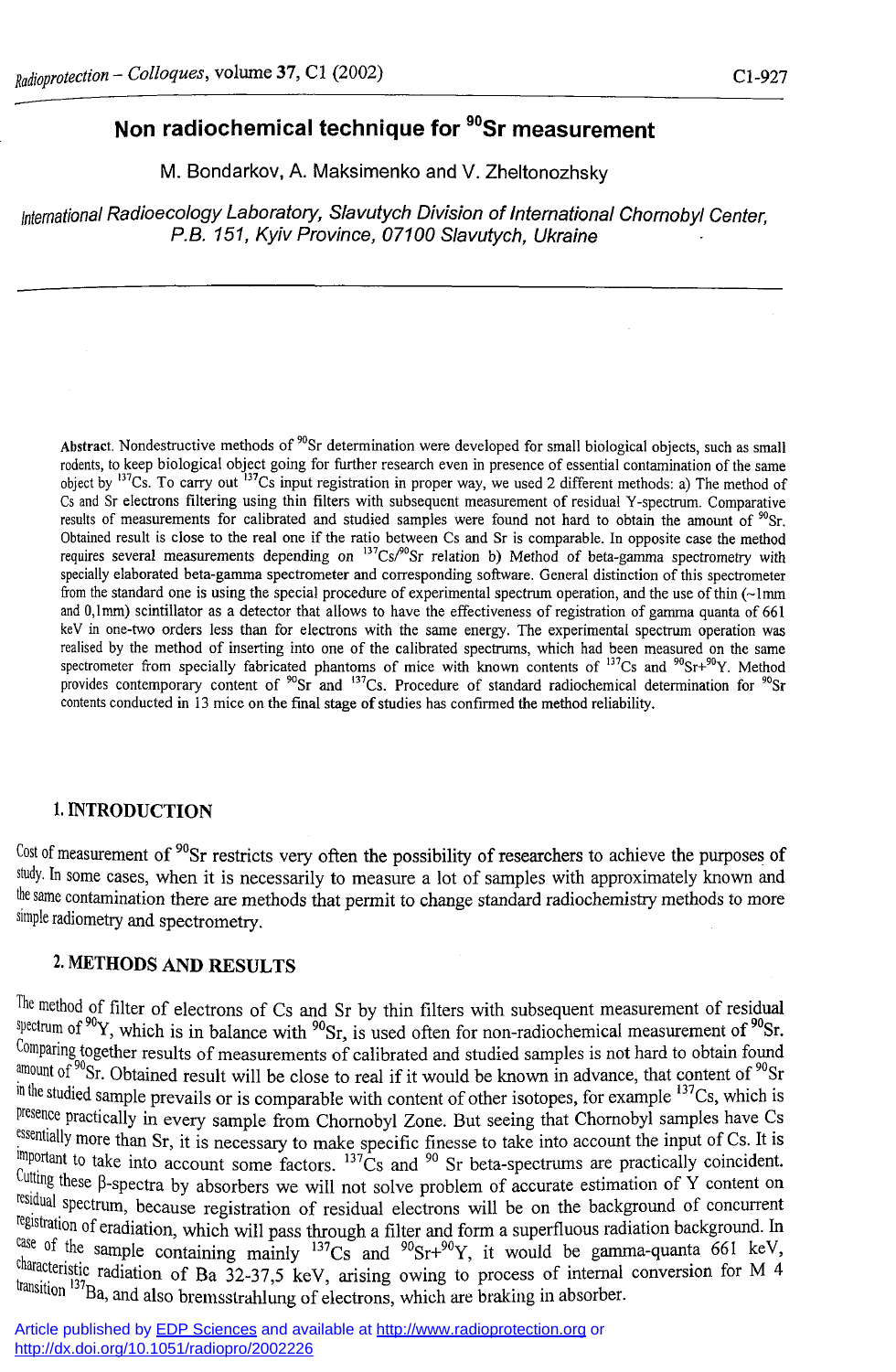## **Non radiochemical technique for <sup>90</sup>Sr measurement**

M. Bondarkov, A. Maksimenko and V. Zheltonozhsky

*International Radioecology Laboratory, Slavutych Division of International Chornobyl Center, P.B. 151, Kyiv Province, 07100 Slavutych, Ukraine* 

Abstract. Nondestructive methods of "Sr determination were developed for small biological objects, such as small rodents, to keep biological object going for further research even in presence of essential contamination of the same object by "'Cs. To carry out "'Cs input registration in proper way, we used 2 different methods: a) The method of Cs and Sr electrons filtering using thin filters with subsequent measurement of residual Y-spectrum. Comparative results of measurements for calibrated and studied samples were found not hard to obtain the amount of  $\frac{90}{5}$ r. Obtained result is close to the real one if the ratio between Cs and Sr is comparable. In opposite case the method requires several measurements depending on  $13^{\circ}$ Cs/ $\degree$ Sr relation b) Method of beta-gamma spectrometry with specially elaborated beta-gamma spectrometer and corresponding software. General distinction of this spectrometer from the standard one is using the special procedure of experimental spectrum operation, and the use of thin  $\left(\sim\right)$ mm and 0,1mm) scintillator as a detector that allows to have the effectiveness of registration of gamma quanta of 661 keV in one-two orders less than for electrons with the same energy. The experimental spectrum operation was realised by the method of inserting into one of the calibrated spectrums, which had been measured on the same spectrometer from specially fabricated phantoms of mice with known contents of  $^{137}Cs$  and  $^{90}Sr+^{90}V$ . Method provides contemporary content of  $^{90}Sr$  and  $^{137}Cs$  Procedure of standard radiochemical determination for  $^{90}Sr$ contents conducted in 13 mice on the final stage of studies has confirmed the method reliability.

## **1.** INTRODUCTION

<sup>Cost of measurement of <sup>yo</sup>Sr restricts very often the possibility of researchers to achieve the purposes of</sup> study. In some cases, when it is necessarily to measure a lot of samples with approximately known and the same contamination there are methods that permit to change standard radiochemistry methods to more simple radiometry and spectrometry.

## **2.** METHODS AND RESULTS

The method of filter of electrons of Cs and Sr by thin filters with subsequent measurement of residual <sup>spectrum of <sup>30</sup>Y, which is in balance with <sup>90</sup>Sr, is used often for non-radiochemical measurement of <sup>90</sup>Sr</sup> Comparing together results of measurements of calibrated and studied samples is not hard to obtain found amount of <sup>30</sup>Sr. Obtained result will be close to real if it would be known in advance, that content of <sup>90</sup>Sr in the studied sample prevails or is comparable with content of other isotopes, for example <sup>137</sup>Cs, which is presence practically in every sample from Chornobyl Zone. But seeing that Chornobyl samples have Cs <sup>essentially</sup> more than Sr, it is necessary to make specific finesse to take into account the input of Cs. It is  $\frac{m_{\text{1}}}{2}$  and to take into account some factors.  $\frac{137}{\text{Cs}}$  and  $\frac{90}{\text{S}}$  is beta-spectrums are practically coincident. Cutting these [3-spectra by absorbers we will not solve problem of accurate estimation of Y content on residual spectrum, because registration of residual electrons will be on the background of concurrent registration of eradiation, which will pass through a filter and form a superfluous radiation background. In <sup>dage of the sample containing mainly  $^{137}Cs$  and  $^{90}Sr+^{90}Y$ , it would be gamma-quanta 661 keV</sup> characteristic radiation of Ba 32-37,5 keV, arising owing to process of internal conversion for M 4 transition <sup>137</sup>Ba, and also bremsstrahlung of electrons, which are braking in absorber.

Article published by [EDP Sciences](http://www.edpsciences.org/) and available at <http://www.radioprotection.org>or <http://dx.doi.org/10.1051/radiopro/2002226>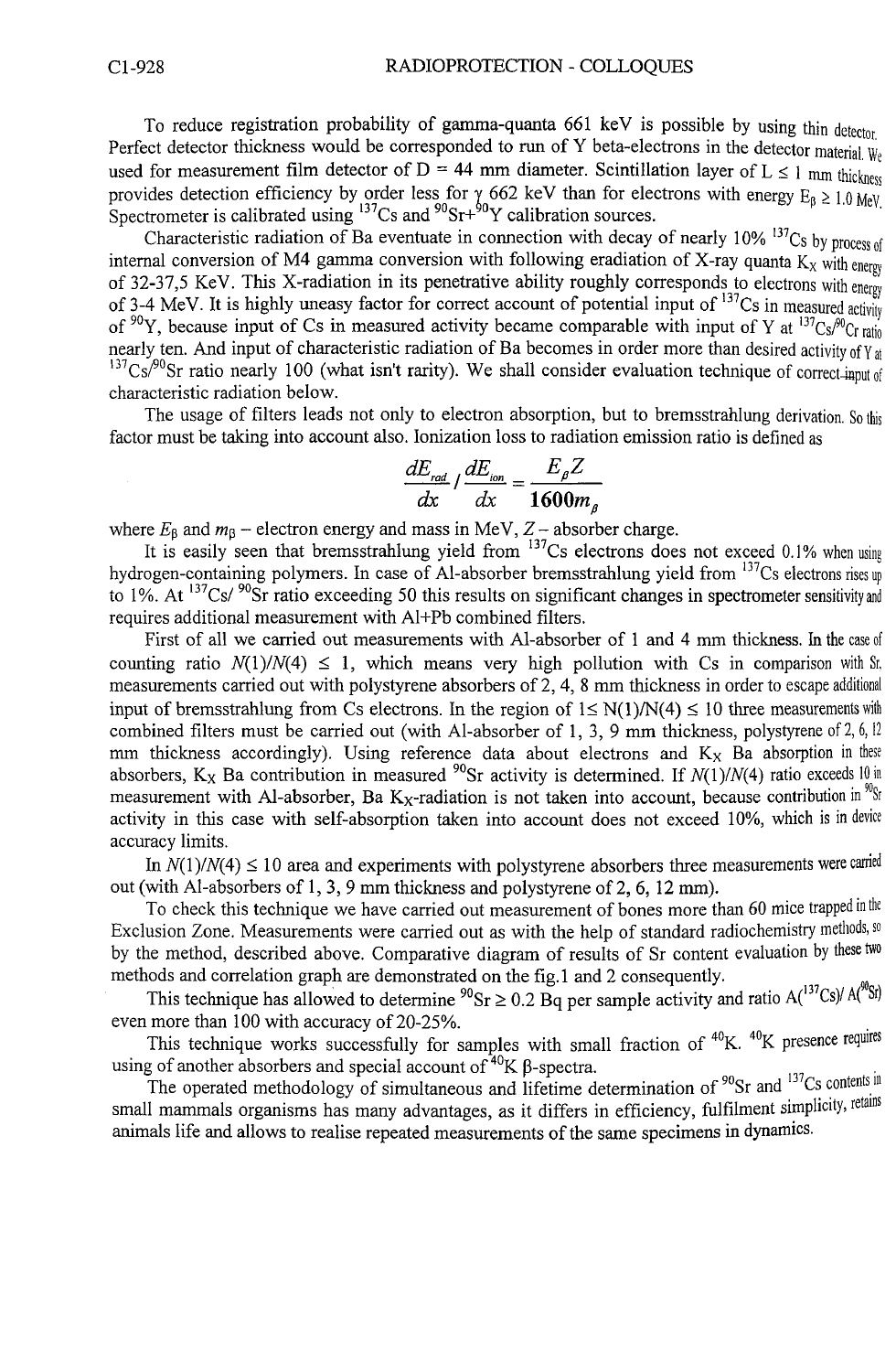To reduce registration probability of gamma-quanta 661 keV is possible by using thin **detector.**  Perfect detector thickness would be corresponded to run of Y beta-electrons in the detector material. We used for measurement film detector of  $D = 44$  mm diameter. Scintillation layer of  $L \le 1$  mm thickness provides detection efficiency by order less for  $\gamma$  662 keV than for electrons with energy  $F_a > 1.0$  MeV. Spectrometer is calibrated using <sup>137</sup>Cs and <sup>90</sup>Sr<sup>+90</sup>Y calibration sources.

Characteristic radiation of Ba eventuate in connection with decay of nearly 10% <sup>137</sup>Cs by process of internal conversion of M4 gamma conversion with following eradiation of X-ray quanta K<sub>x</sub> with energy of 32-37,5 KeV. This X-radiation in its penetrative ability roughly corresponds to electrons with **energy**  of 3-4 MeV. It is highly uneasy factor for correct account of potential input of <sup>137</sup>Cs in measured activity of <sup>90</sup>Y, because input of Cs in measured activity became comparable with input of Y at  $\frac{^{137}Cs^{90}Cr \text{ rad}}{^{137}Cs^{90}Cr \text{ rad}}$ nearly ten. And input of characteristic radiation of Ba becomes in order more than desired activity of Y<sub>at</sub>  $\frac{137}{2}Cs^{90}$ Sr ratio nearly 100 (what isn't rarity). We shall consider evaluation technique of correct-input of characteristic radiation below.

The usage of filters leads not only to electron absorption, but to bremsstrahlung derivation. **So this**  factor must be taking into account also. Ionization loss to radiation emission ratio is defined as

$$
\frac{dE_{rad}}{dx} / \frac{dE_{ion}}{dx} = \frac{E_{\beta}Z}{1600m_{\beta}}
$$

where  $E_{\beta}$  and  $m_{\beta}$  – electron energy and mass in MeV, Z – absorber charge.

It is easily seen that bremsstrahlung yield from I37Cs electrons does not exceed 0.1% **when using**  hydrogen-containing polymers. In case of Al-absorber bremsstrahlung yield from <sup>137</sup>Cs electrons **rises up**  to 1%. At <sup>137</sup>Cs/<sup>30</sup>Sr ratio exceeding 50 this results on significant changes in spectrometer sensitivity and requires additional measurement with Al+Pb combined filters.

First of all we carried out measurements with Al-absorber of 1 and 4 mm thickness. In the **case of**  counting ratio  $N(1)/N(4) \leq 1$ , which means very high pollution with Cs in comparison with St, measurements carried out with polystyrene absorbers of 2, 4, 8 mm thickness in order to **escap e additional**  input of bremsstrahlung from Cs electrons. In the region of  $1 \le N(1)/N(4) \le 10$  three measurements with combined filters must be carried out (with Al-absorber of 1, 3, 9 mm thickness, polystyrene of 2, 6, 12 mm thickness accordingly). Using reference data about electrons and K<sub>x</sub> Ba absorption in these absorbers, K<sub>X</sub> Ba contribution in measured <sup>50</sup>Sr activity is determined. If  $N(1)/N(4)$  ratio exceeds 10 in measurement with Al-absorber, Ba K<sub>X</sub>-radiation is not taken into account, because contribution in <sup>yug</sup>i activity in this case with self-absorption taken into account does not exceed 10%, which is in device accuracy limits.

In  $N(1)/N(4) \le 10$  area and experiments with polystyrene absorbers three measurements were carried out (with Al-absorbers of 1, 3, 9 mm thickness and polystyrene of 2, 6, 12 mm).

To check this technique we have carried out measurement of bones more than 60 mice **trapped in the**  Exclusion Zone. Measurements were carried out as with the help of standard radiochemistry **methods, so**  by the method, described above. Comparative diagram of results of Sr content evaluation by these **two**  methods and correlation graph are demonstrated on the fig.1 and 2 consequently.

This technique has allowed to determine  $^{90}Sr \geq 0.2$  Bq per sample activity and ratio A( $^{100}Cs$ )/A( $^{50}$ ) even more than 100 with accuracy of 20-25%.

This technique works successfully for samples with small fraction of <sup>40</sup>K. <sup>40</sup>K presence **requires**  using of another absorbers and special account of  $40K$   $\beta$ -spectra.

The operated methodology of simultaneous and lifetime determination of <sup>50</sup>Sr and <sup>197</sup>Cs contents in small mammals organisms has many advantages, as it differs in efficiency, fulfilment simplicity, retains animals life and allows to realise repeated measurements of the same specimens in dynamics.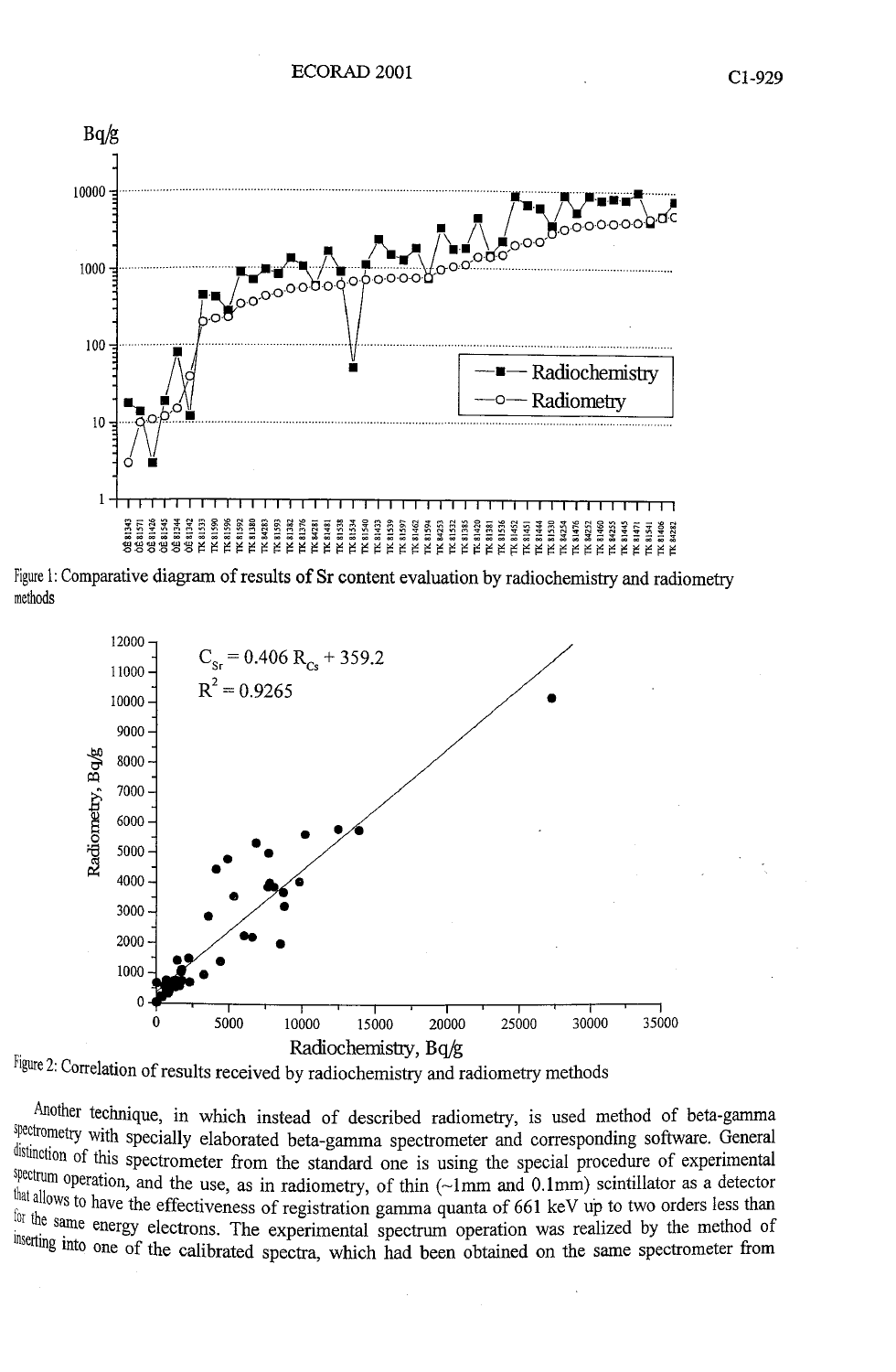

Figure 1: Comparative diagram of results of Sr content evaluation by radiochemistry and radiometry methods





Another technique, in which instead of described radiometry, is used method of beta-gamma spectrometry with specially elaborated beta-gamma spectrometer and corresponding software. General is using the spectrometer from the standard one is using the special procedure of experimental distinction of this spectrometer from the standard one is using the special procedure of experimental Spectrum operation, and the use, as in radiometry, of thin  $(\sim 1$ mm and  $(0.1$ mm) scintillator as a detector spectrometry with special<br>distinction of this spectrum<br>spectrum operation, and<br>that allows to have the e<br>for the same energy eld eness of registration gamma quanta of 661 keV up to two orders less than <sup>for the same energy electrons. The experimental spectrum operation was realized by the method of</sup> <sup>8 mto</sup> one of the calibrated spectra, which had been obtained on the same spectrometer from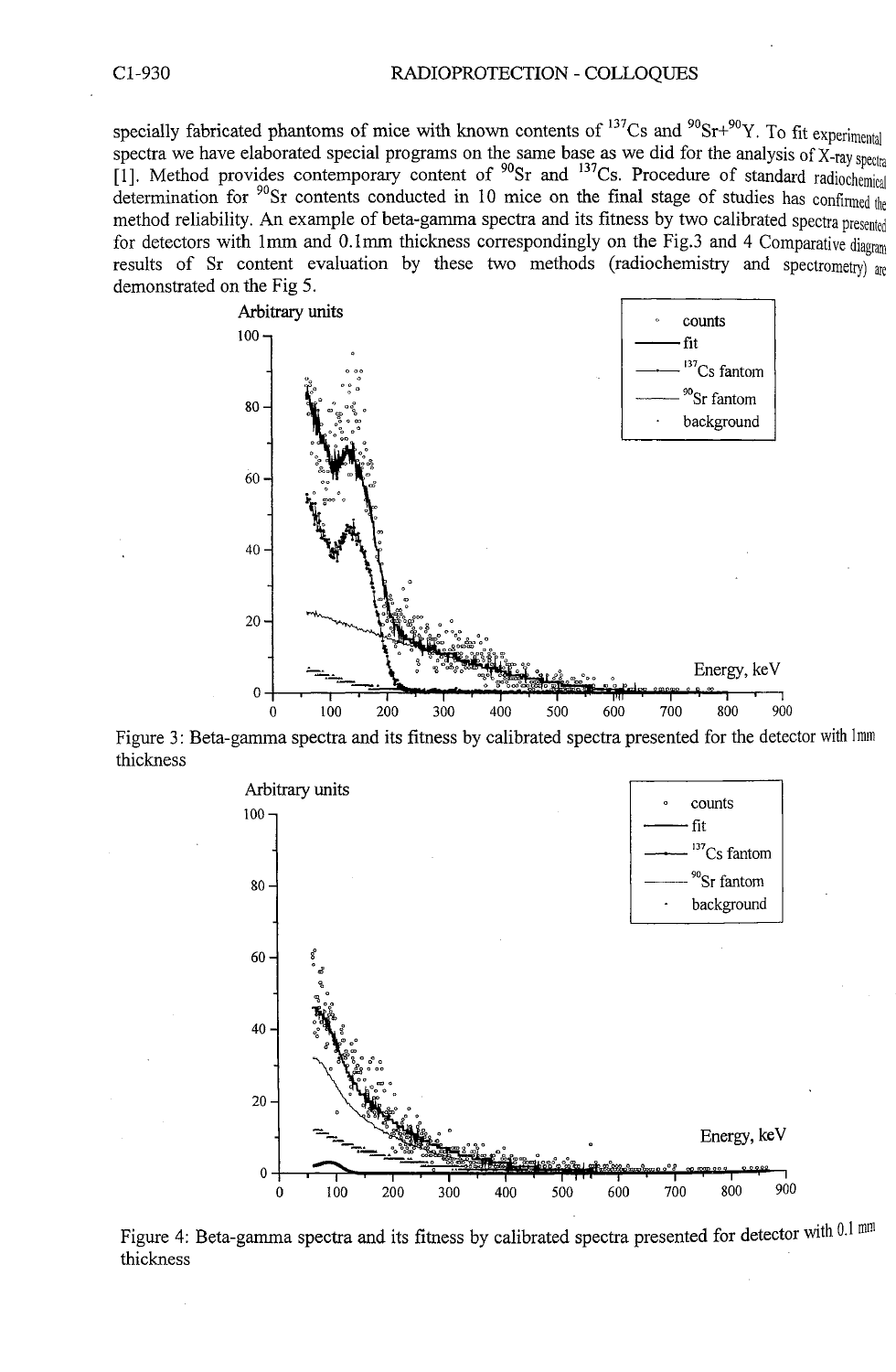specially fabricated phantoms of mice with known contents of <sup>137</sup>Cs and <sup>30</sup>Sr<sup>+90</sup>Y. To fit experimental spectra we have elaborated special programs on the same base as we did for the analysis of X-ray **spectra**  [1]. Method provides contemporary content of <sup>90</sup>Sr and <sup>137</sup>Cs. Procedure of standard radiochemical determination for <sup>90</sup>Sr contents conducted in 10 mice on the final stage of studies has **confirmed** the method reliability. An example of beta-gamma spectra and its fitness by two calibrated spectra presented for detectors with 1mm and 0.1mm thickness correspondingly on the Fig.3 and 4 Comparative diagram results of Sr content evaluation by these two methods (radiochemistry and spectrometry) are demonstrated on the Fig 5.



Figure 3: Beta-gamma spectra and its fitness by calibrated spectra presented for the detector with**<sup>1</sup>** thickness



Figure 4: Beta-gamma spectra and its fitness by calibrated spectra presented for detector with 0.1 mm thickness